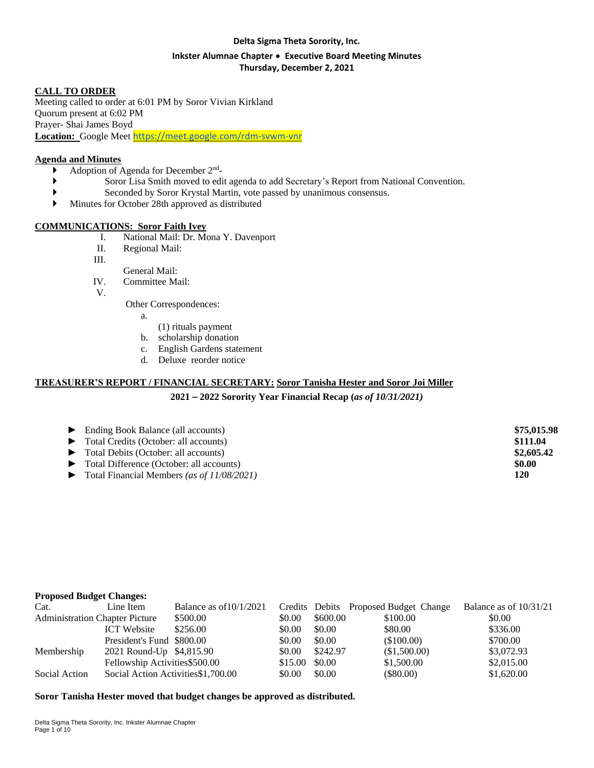#### **Delta Sigma Theta Sorority, Inc.**

#### **Inkster Alumnae Chapter** ∙ **Executive Board Meeting Minutes Thursday, December 2, 2021**

## **CALL TO ORDER**

Meeting called to order at 6:01 PM by Soror Vivian Kirkland Quorum present at 6:02 PM Prayer- Shai James Boyd **Location:** Google Meet <https://meet.google.com/rdm-svwm-vnr>

#### **Agenda and Minutes**

- Adoption of Agenda for December 2<sup>nd</sup>-
	- Soror Lisa Smith moved to edit agenda to add Secretary's Report from National Convention.
- Seconded by Soror Krystal Martin, vote passed by unanimous consensus.
- Minutes for October 28th approved as distributed

#### **COMMUNICATIONS: Soror Faith Ivey**

- I. National Mail: Dr. Mona Y. Davenport
- II. Regional Mail:
- III.
- General Mail:
- IV. Committee Mail:
- V.

Other Correspondences:

- a.
	- (1) rituals payment
- b. scholarship donation
- c. English Gardens statement
- d. Deluxe reorder notice

#### **TREASURER'S REPORT / FINANCIAL SECRETARY: Soror Tanisha Hester and Soror Joi Miller**

**2021** – **2022 Sorority Year Financial Recap (***as of 10/31/2021)*

| $\blacktriangleright$ Ending Book Balance (all accounts) | \$75,015.98 |
|----------------------------------------------------------|-------------|
| • Total Credits (October: all accounts)                  | \$111.04    |
| • Total Debits (October: all accounts)                   | \$2,605.42  |
| • Total Difference (October: all accounts)               | \$0.00      |
| Total Financial Members (as of 11/08/2021)               | 120         |

#### **Proposed Budget Changes:**

| Cat.          | Line Item                             | Balance as of $10/1/2021$           |         |          | Credits Debits Proposed Budget Change | Balance as of $10/31/21$ |
|---------------|---------------------------------------|-------------------------------------|---------|----------|---------------------------------------|--------------------------|
|               | <b>Administration Chapter Picture</b> | \$500.00                            | \$0.00  | \$600.00 | \$100.00                              | \$0.00                   |
|               | <b>ICT</b> Website                    | \$256.00                            | \$0.00  | \$0.00   | \$80.00                               | \$336.00                 |
|               | President's Fund \$800.00             |                                     | \$0.00  | \$0.00   | (\$100.00)                            | \$700.00                 |
| Membership    | 2021 Round-Up \$4,815.90              |                                     | \$0.00  | \$242.97 | (\$1,500.00)                          | \$3,072.93               |
|               | Fellowship Activities \$500.00        |                                     | \$15.00 | \$0.00   | \$1,500.00                            | \$2,015.00               |
| Social Action |                                       | Social Action Activities \$1,700.00 | \$0.00  | \$0.00   | $(\$80.00)$                           | \$1,620.00               |
|               |                                       |                                     |         |          |                                       |                          |

**Soror Tanisha Hester moved that budget changes be approved as distributed.**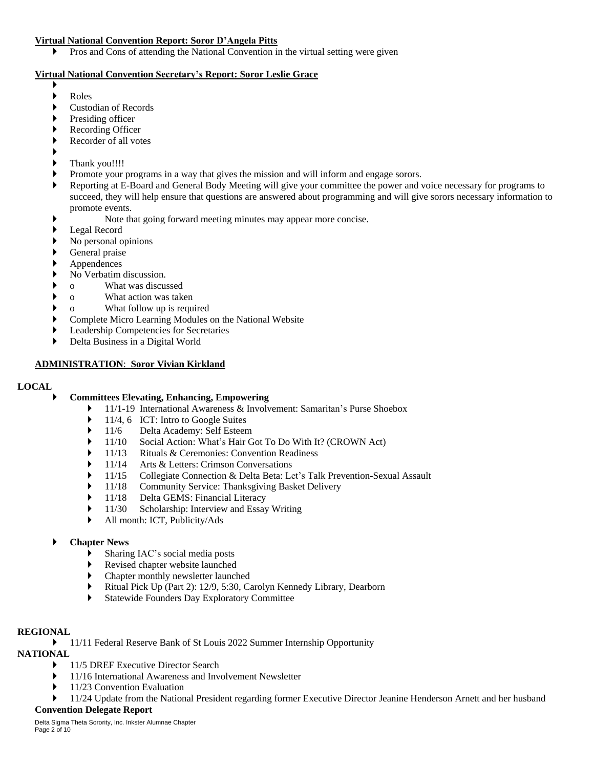#### **Virtual National Convention Report: Soror D'Angela Pitts**

**Pros and Cons of attending the National Convention in the virtual setting were given** 

## **Virtual National Convention Secretary's Report: Soror Leslie Grace**

- $\blacktriangleright$
- ▶ Roles
- Custodian of Records
- Presiding officer
- Recording Officer
- Recorder of all votes
- ▶
- Thank you!!!!
- Promote your programs in a way that gives the mission and will inform and engage sorors.
- Reporting at E-Board and General Body Meeting will give your committee the power and voice necessary for programs to succeed, they will help ensure that questions are answered about programming and will give sorors necessary information to promote events.
- Note that going forward meeting minutes may appear more concise.
- Legal Record
- No personal opinions
- General praise
- Appendences
- No Verbatim discussion.
- o What was discussed
- o What action was taken
- o What follow up is required
- Complete Micro Learning Modules on the National Website
- Leadership Competencies for Secretaries
- Delta Business in a Digital World

## **ADMINISTRATION**: **Soror Vivian Kirkland**

#### **LOCAL**

## **Committees Elevating, Enhancing, Empowering**

- ▶ 11/1-19 International Awareness & Involvement: Samaritan's Purse Shoebox
- $\blacktriangleright$  11/4, 6 ICT: Intro to Google Suites
- ▶ 11/6 Delta Academy: Self Esteem
- ▶ 11/10 Social Action: What's Hair Got To Do With It? (CROWN Act)
- 11/13 Rituals & Ceremonies: Convention Readiness
- → 11/14 Arts & Letters: Crimson Conversations<br>→ 11/15 Collegiate Connection & Delta Beta: Le
- ▶ 11/15 Collegiate Connection & Delta Beta: Let's Talk Prevention-Sexual Assault
- ▶ 11/18 Community Service: Thanksgiving Basket Delivery<br>▶ 11/18 Delta GEMS: Financial Literacy
- 11/18 Delta GEMS: Financial Literacy
- ▶ 11/30 Scholarship: Interview and Essay Writing
- All month: ICT, Publicity/Ads

#### **Chapter News**

- Sharing IAC's social media posts
- Revised chapter website launched
- Chapter monthly newsletter launched
- Ritual Pick Up (Part 2): 12/9, 5:30, Carolyn Kennedy Library, Dearborn
- Statewide Founders Day Exploratory Committee

## **REGIONAL**

• 11/11 Federal Reserve Bank of St Louis 2022 Summer Internship Opportunity

## **NATIONAL**

- ▶ 11/5 DREF Executive Director Search
- ▶ 11/16 International Awareness and Involvement Newsletter
- 11/23 Convention Evaluation
- 11/24 Update from the National President regarding former Executive Director Jeanine Henderson Arnett and her husband

## **Convention Delegate Report**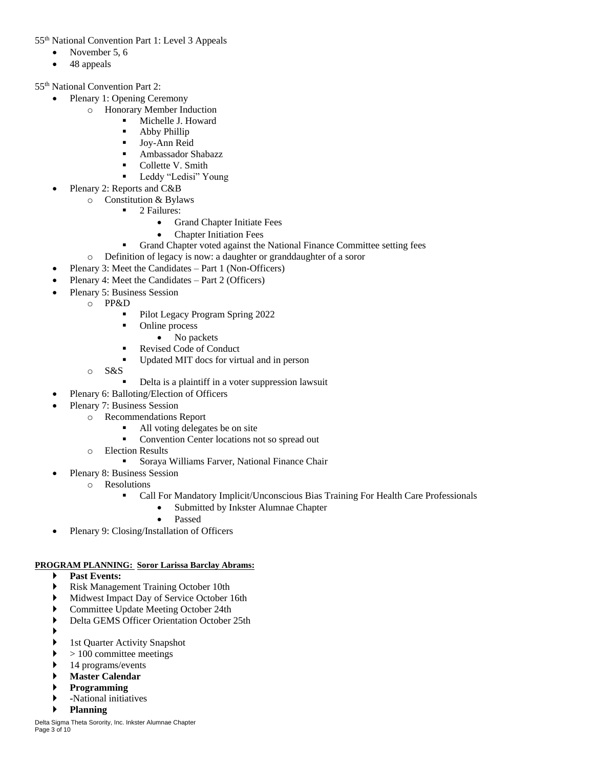55th National Convention Part 1: Level 3 Appeals

- November 5, 6
- 48 appeals

55th National Convention Part 2:

- Plenary 1: Opening Ceremony
	- o Honorary Member Induction
		- **Nichelle J. Howard** 
			- Abby Phillip
			- **Joy-Ann Reid**
			- Ambassador Shabazz
			- Collette V. Smith
			- **Leddy "Ledisi" Young**
	- Plenary 2: Reports and C&B
		- o Constitution & Bylaws
			- 2 Failures:
				- Grand Chapter Initiate Fees
				- Chapter Initiation Fees
			- Grand Chapter voted against the National Finance Committee setting fees
		- o Definition of legacy is now: a daughter or granddaughter of a soror
- Plenary 3: Meet the Candidates Part 1 (Non-Officers)
- Plenary 4: Meet the Candidates Part 2 (Officers)
- Plenary 5: Business Session
	- o PP&D
		- Pilot Legacy Program Spring 2022
		- Online process
			- No packets
		- Revised Code of Conduct
		- Updated MIT docs for virtual and in person
	- o S&S
		- Delta is a plaintiff in a voter suppression lawsuit
	- Plenary 6: Balloting/Election of Officers
- Plenary 7: Business Session
	- o Recommendations Report
		- All voting delegates be on site
		- Convention Center locations not so spread out
	- o Election Results
		- Soraya Williams Farver, National Finance Chair
	- Plenary 8: Business Session
		- o Resolutions
			- Call For Mandatory Implicit/Unconscious Bias Training For Health Care Professionals
				- Submitted by Inkster Alumnae Chapter
				- Passed
- Plenary 9: Closing/Installation of Officers

## **PROGRAM PLANNING: Soror Larissa Barclay Abrams:**

- **Past Events:**
- Risk Management Training October 10th
- Midwest Impact Day of Service October 16th
- Committee Update Meeting October 24th
- Delta GEMS Officer Orientation October 25th
- ▶
	- 1st Quarter Activity Snapshot
- > 100 committee meetings
- 14 programs/events
- **Master Calendar**
- **Programming**
- **-**National initiatives
- **Planning**

Delta Sigma Theta Sorority, Inc. Inkster Alumnae Chapter Page 3 of 10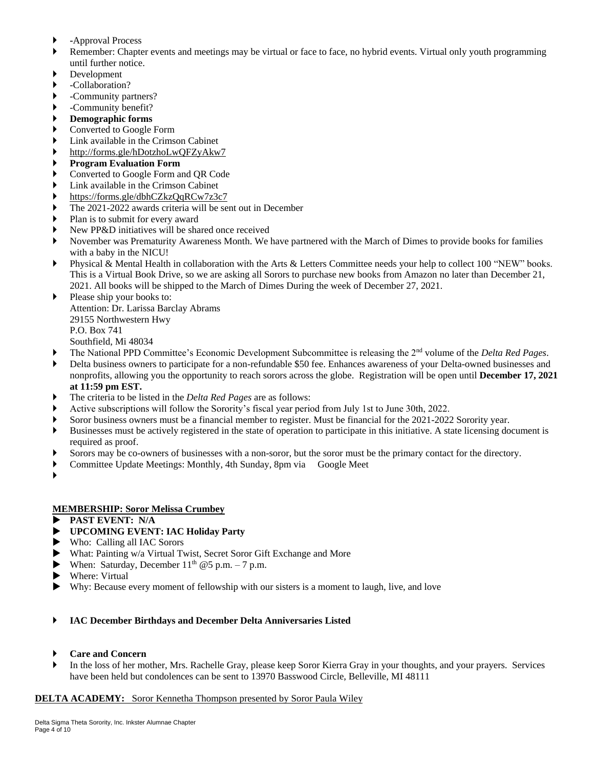- **-**Approval Process
- Remember: Chapter events and meetings may be virtual or face to face, no hybrid events. Virtual only youth programming until further notice.
- Development
- -Collaboration?
- -Community partners?
- -Community benefit?
- **Demographic forms**
- Converted to Google Form
- Link available in the Crimson Cabinet
- <http://forms.gle/hDotzhoLwQFZyAkw7>
- **Program Evaluation Form**
- Converted to Google Form and QR Code
- Link available in the Crimson Cabinet
- <https://forms.gle/dbhCZkzQqRCw7z3c7>
- The 2021-2022 awards criteria will be sent out in December
- Plan is to submit for every award
- New PP&D initiatives will be shared once received
- November was Prematurity Awareness Month. We have partnered with the March of Dimes to provide books for families with a baby in the NICU!
- Physical & Mental Health in collaboration with the Arts & Letters Committee needs your help to collect 100 "NEW" books. This is a Virtual Book Drive, so we are asking all Sorors to purchase new books from Amazon no later than December 21, 2021. All books will be shipped to the March of Dimes During the week of December 27, 2021.
- Please ship your books to: Attention: Dr. Larissa Barclay Abrams 29155 Northwestern Hwy P.O. Box 741 Southfield, Mi 48034
- The National PPD Committee's Economic Development Subcommittee is releasing the 2nd volume of the *Delta Red Pages*.
- Delta business owners to participate for a non-refundable \$50 fee. Enhances awareness of your Delta-owned businesses and nonprofits, allowing you the opportunity to reach sorors across the globe. Registration will be open until **December 17, 2021 at 11:59 pm EST.**
- The criteria to be listed in the *Delta Red Pages* are as follows:
- Active subscriptions will follow the Sorority's fiscal year period from July 1st to June 30th, 2022.
- Soror business owners must be a financial member to register. Must be financial for the 2021-2022 Sorority year.
- Businesses must be actively registered in the state of operation to participate in this initiative. A state licensing document is required as proof.
- Sorors may be co-owners of businesses with a non-soror, but the soror must be the primary contact for the directory.
- Committee Update Meetings: Monthly, 4th Sunday, 8pm via Google Meet
- ▶

#### **MEMBERSHIP: Soror Melissa Crumbey**

- **PAST EVENT: N/A**
- **UPCOMING EVENT: IAC Holiday Party**
- Who: Calling all IAC Sorors
- What: Painting w/a Virtual Twist, Secret Soror Gift Exchange and More
- When: Saturday, December  $11<sup>th</sup>$  @5 p.m. 7 p.m.
- Where: Virtual
- Why: Because every moment of fellowship with our sisters is a moment to laugh, live, and love

#### **IAC December Birthdays and December Delta Anniversaries Listed**

- **Care and Concern**
- In the loss of her mother, Mrs. Rachelle Gray, please keep Soror Kierra Gray in your thoughts, and your prayers. Services have been held but condolences can be sent to 13970 Basswood Circle, Belleville, MI 48111

## **DELTA ACADEMY:** Soror Kennetha Thompson presented by Soror Paula Wiley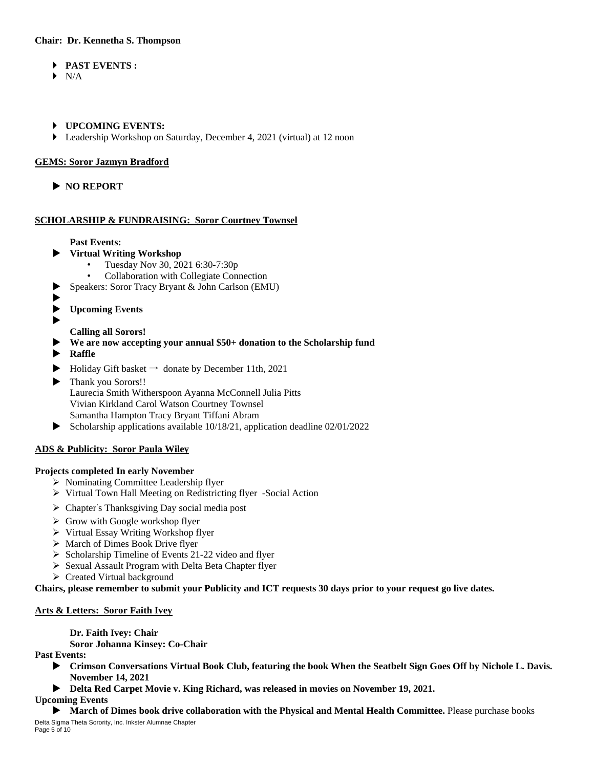## **Chair: Dr. Kennetha S. Thompson**

- **PAST EVENTS :**
- $\blacktriangleright$  N/A
- **UPCOMING EVENTS:**
- Leadership Workshop on Saturday, December 4, 2021 (virtual) at 12 noon

## **GEMS: Soror Jazmyn Bradford**

**NO REPORT**

## **SCHOLARSHIP & FUNDRAISING: Soror Courtney Townsel**

## **Past Events:**

- **Virtual Writing Workshop**
	- Tuesday Nov 30, 2021 6:30-7:30p
	- Collaboration with Collegiate Connection
- Speakers: Soror Tracy Bryant & John Carlson (EMU)
- $\blacktriangleright$
- **Upcoming Events**
- ▶

**Calling all Sorors!** 

- **We are now accepting your annual \$50+ donation to the Scholarship fund**
- **Raffle**
- $\blacktriangleright$  Holiday Gift basket  $\rightarrow$  donate by December 11th, 2021
- Thank you Sorors!! Laurecia Smith Witherspoon Ayanna McConnell Julia Pitts Vivian Kirkland Carol Watson Courtney Townsel Samantha Hampton Tracy Bryant Tiffani Abram
- $\blacktriangleright$  Scholarship applications available 10/18/21, application deadline 02/01/2022

## **ADS & Publicity: Soror Paula Wiley**

#### **Projects completed In early November**

- Nominating Committee Leadership flyer
- Virtual Town Hall Meeting on Redistricting flyer -Social Action
- Chapter's Thanksgiving Day social media post
- $\triangleright$  Grow with Google workshop flyer
- ▶ Virtual Essay Writing Workshop flyer
- $\triangleright$  March of Dimes Book Drive flyer
- $\triangleright$  Scholarship Timeline of Events 21-22 video and flyer
- Sexual Assault Program with Delta Beta Chapter flyer
- Created Virtual background

Chairs, please remember to submit your Publicity and ICT requests 30 days prior to your request go live dates.

## **Arts & Letters: Soror Faith Ivey**

**Dr. Faith Ivey: Chair**

**Soror Johanna Kinsey: Co-Chair**

**Past Events:** 

- **Crimson Conversations Virtual Book Club, featuring the book When the Seatbelt Sign Goes Off by Nichole L. Davis. November 14, 2021**
- **Delta Red Carpet Movie v. King Richard, was released in movies on November 19, 2021.**

**Upcoming Events**

Delta Sigma Theta Sorority, Inc. Inkster Alumnae Chapter Page 5 of 10 **March of Dimes book drive collaboration with the Physical and Mental Health Committee.** Please purchase books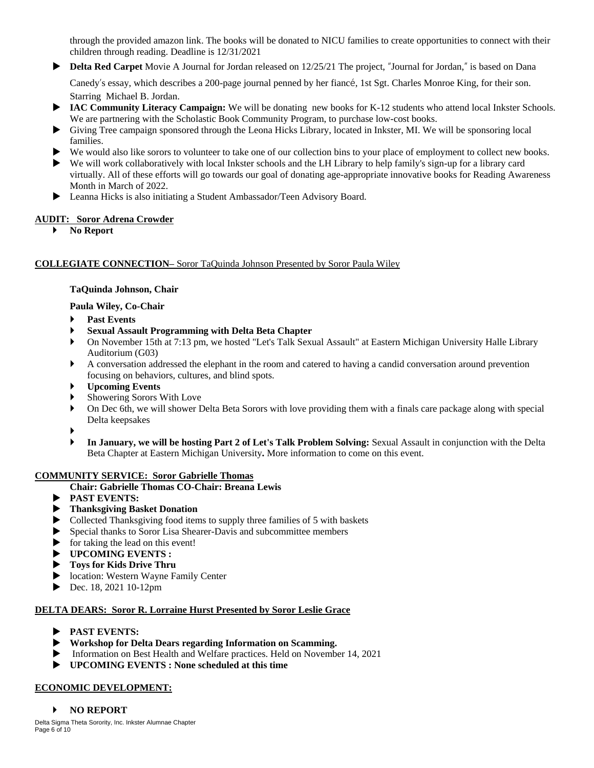through the provided amazon link. The books will be donated to NICU families to create opportunities to connect with their children through reading. Deadline is 12/31/2021

**Delta Red Carpet** Movie A Journal for Jordan released on 12/25/21 The project, "Journal for Jordan," is based on Dana

Canedy's essay, which describes a 200-page journal penned by her fiancé, 1st Sgt. Charles Monroe King, for their son. Starring Michael B. Jordan.

- ▶ IAC Community Literacy Campaign: We will be donating new books for K-12 students who attend local Inkster Schools. We are partnering with the Scholastic Book Community Program, to purchase low-cost books.
- Giving Tree campaign sponsored through the Leona Hicks Library, located in Inkster, MI. We will be sponsoring local families.
- We would also like sorors to volunteer to take one of our collection bins to your place of employment to collect new books.
- We will work collaboratively with local Inkster schools and the LH Library to help family's sign-up for a library card virtually. All of these efforts will go towards our goal of donating age-appropriate innovative books for Reading Awareness Month in March of 2022.
- Leanna Hicks is also initiating a Student Ambassador/Teen Advisory Board.

## **AUDIT: Soror Adrena Crowder**

**No Report**

## **COLLEGIATE CONNECTION–** Soror TaQuinda Johnson Presented by Soror Paula Wiley

## **TaQuinda Johnson, Chair**

## **Paula Wiley, Co-Chair**

- **Past Events**
- **Sexual Assault Programming with Delta Beta Chapter**
- On November 15th at 7:13 pm, we hosted "Let's Talk Sexual Assault" at Eastern Michigan University Halle Library Auditorium (G03)
- A conversation addressed the elephant in the room and catered to having a candid conversation around prevention focusing on behaviors, cultures, and blind spots.
- **Upcoming Events**
- Showering Sorors With Love
- On Dec 6th, we will shower Delta Beta Sorors with love providing them with a finals care package along with special Delta keepsakes
- ▶
- **In January, we will be hosting Part 2 of Let's Talk Problem Solving:** Sexual Assault in conjunction with the Delta Beta Chapter at Eastern Michigan University**.** More information to come on this event.

#### **COMMUNITY SERVICE: Soror Gabrielle Thomas**

#### **Chair: Gabrielle Thomas CO-Chair: Breana Lewis**

- **PAST EVENTS:**
- **Thanksgiving Basket Donation**
- Collected Thanksgiving food items to supply three families of 5 with baskets
- Special thanks to Soror Lisa Shearer-Davis and subcommittee members
- $\triangleright$  for taking the lead on this event!
- **UPCOMING EVENTS :**
- **Toys for Kids Drive Thru**
- location: Western Wayne Family Center
- ▶ Dec. 18, 2021 10-12pm

## **DELTA DEARS: Soror R. Lorraine Hurst Presented by Soror Leslie Grace**

- **PAST EVENTS:**
- **Workshop for Delta Dears regarding Information on Scamming.**
- Information on Best Health and Welfare practices. Held on November 14, 2021
- **UPCOMING EVENTS : None scheduled at this time**

# **ECONOMIC DEVELOPMENT:**

## **NO REPORT**

Delta Sigma Theta Sorority, Inc. Inkster Alumnae Chapter Page 6 of 10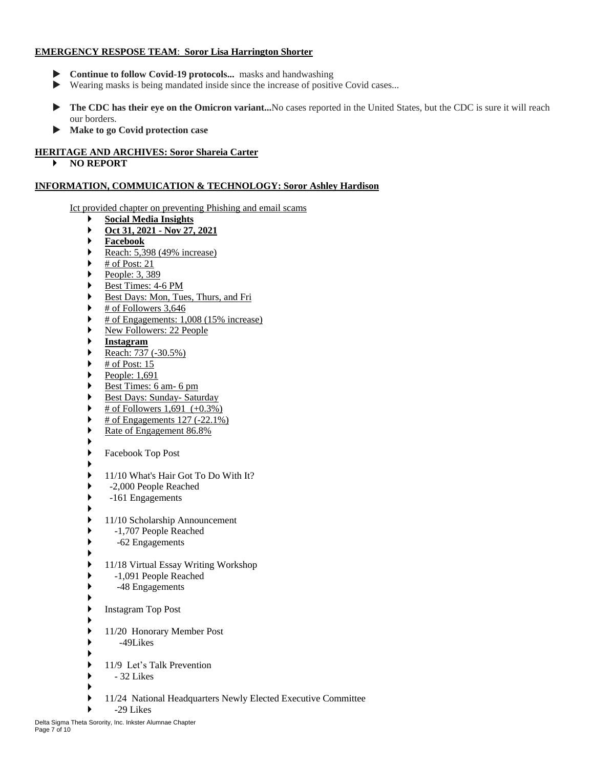## **EMERGENCY RESPOSE TEAM**: **Soror Lisa Harrington Shorter**

- **Continue to follow Covid-19 protocols...** masks and handwashing
- Wearing masks is being mandated inside since the increase of positive Covid cases...
- ▶ The CDC has their eye on the Omicron variant...No cases reported in the United States, but the CDC is sure it will reach our borders.
- **Make to go Covid protection case**

## **HERITAGE AND ARCHIVES: Soror Shareia Carter**

**NO REPORT**

## **INFORMATION, COMMUICATION & TECHNOLOGY: Soror Ashley Hardison**

Ict provided chapter on preventing Phishing and email scams

- **Social Media Insights Oct 31, 2021 - Nov 27, 2021**
- 
- **Facebook**
- Reach:  $5,398$  (49% increase)
- # of Post: 21
- People:  $3, 389$
- Best Times: 4-6 PM
- Best Days: Mon, Tues, Thurs, and Fri
- $\blacktriangleright$  # of Followers 3,646
- $\blacktriangleright$  # of Engagements: 1,008 (15% increase)
- New Followers: 22 People
- **Instagram**
- Reach:  $737 (-30.5\%)$
- $\triangleright$  # of Post: 15
- People:  $1,691$
- Best Times: 6 am- 6 pm
- Best Days: Sunday- Saturday
- $\triangleright$  # of Followers 1,691 (+0.3%)
- # of Engagements 127 (-22.1%)
- Rate of Engagement 86.8%
- ▶
	-
- ▶ Facebook Top Post ▶
- ▶ 11/10 What's Hair Got To Do With It?
- -2,000 People Reached
- -161 Engagements
- ▶ ▶ 11/10 Scholarship Announcement
- -1,707 People Reached
- -62 Engagements
- ▶
- 11/18 Virtual Essay Writing Workshop
- -1,091 People Reached
- -48 Engagements
- ▶ Instagram Top Post
- ▶
- 11/20 Honorary Member Post
- -49Likes
- ▶ ▶ 11/9 Let's Talk Prevention
- $\rightarrow$  32 Likes
- ▶
- 11/24 National Headquarters Newly Elected Executive Committee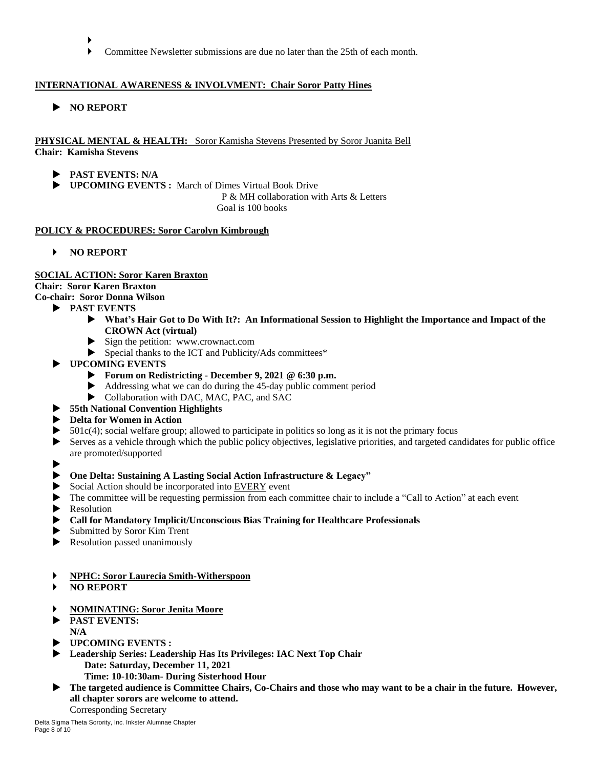- ь
- Committee Newsletter submissions are due no later than the 25th of each month.

## **INTERNATIONAL AWARENESS & INVOLVMENT: Chair Soror Patty Hines**

**NO REPORT**

#### **PHYSICAL MENTAL & HEALTH:** Soror Kamisha Stevens Presented by Soror Juanita Bell **Chair: Kamisha Stevens**

- **PAST EVENTS: N/A**
- **UPCOMING EVENTS :** March of Dimes Virtual Book Drive

 P & MH collaboration with Arts & Letters Goal is 100 books

#### **POLICY & PROCEDURES: Soror Carolyn Kimbrough**

**NO REPORT**

#### **SOCIAL ACTION: Soror Karen Braxton**

**Chair: Soror Karen Braxton**

## **Co-chair: Soror Donna Wilson**

- **PAST EVENTS**
	- **What's Hair Got to Do With It?: An Informational Session to Highlight the Importance and Impact of the CROWN Act (virtual)**
	- Sign the petition: www.crownact.com
	- Special thanks to the ICT and Publicity/Ads committees\*
- **UPCOMING EVENTS**
	- **Forum on Redistricting - December 9, 2021 @ 6:30 p.m.**
	- Addressing what we can do during the 45-day public comment period
	- $\blacktriangleright$  Collaboration with DAC, MAC, PAC, and SAC
- **55th National Convention Highlights**
- **Delta for Women in Action**
- $\triangleright$  501c(4); social welfare group; allowed to participate in politics so long as it is not the primary focus
- Serves as a vehicle through which the public policy objectives, legislative priorities, and targeted candidates for public office are promoted/supported
- $\blacktriangleright$
- **One Delta: Sustaining A Lasting Social Action Infrastructure & Legacy"**
- Social Action should be incorporated into EVERY event
- The committee will be requesting permission from each committee chair to include a "Call to Action" at each event
- **Resolution**
- **Call for Mandatory Implicit/Unconscious Bias Training for Healthcare Professionals**
- Submitted by Soror Kim Trent
- Resolution passed unanimously
- **NPHC: Soror Laurecia Smith-Witherspoon**
- **NO REPORT**
- **NOMINATING: Soror Jenita Moore**
- **PAST EVENTS: N/A**
- **UPCOMING EVENTS :**
- **Leadership Series: Leadership Has Its Privileges: IAC Next Top Chair Date: Saturday, December 11, 2021 Time: 10-10:30am- During Sisterhood Hour**
- **The targeted audience is Committee Chairs, Co-Chairs and those who may want to be a chair in the future. However, all chapter sorors are welcome to attend.**

Corresponding Secretary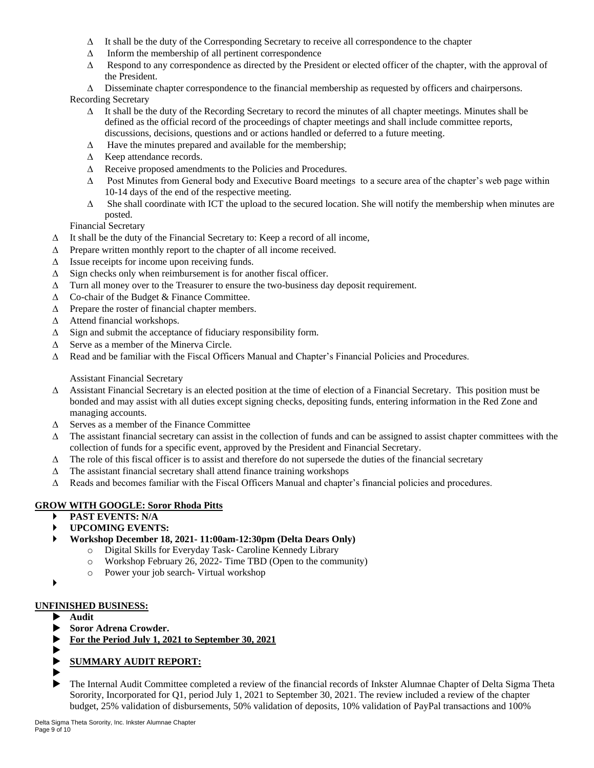- $\Delta$  It shall be the duty of the Corresponding Secretary to receive all correspondence to the chapter
- $\Delta$  Inform the membership of all pertinent correspondence
- $\Delta$  Respond to any correspondence as directed by the President or elected officer of the chapter, with the approval of the President.
- $\Delta$  Disseminate chapter correspondence to the financial membership as requested by officers and chairpersons.

Recording Secretary

- $\Delta$  It shall be the duty of the Recording Secretary to record the minutes of all chapter meetings. Minutes shall be defined as the official record of the proceedings of chapter meetings and shall include committee reports, discussions, decisions, questions and or actions handled or deferred to a future meeting.
- $\Delta$  Have the minutes prepared and available for the membership;
- $\triangle$  Keep attendance records.
- $\Delta$  Receive proposed amendments to the Policies and Procedures.
- $\Delta$  Post Minutes from General body and Executive Board meetings to a secure area of the chapter's web page within 10-14 days of the end of the respective meeting.
- $\Delta$  She shall coordinate with ICT the upload to the secured location. She will notify the membership when minutes are posted.

Financial Secretary

- $\Delta$  It shall be the duty of the Financial Secretary to: Keep a record of all income,
- $\Delta$  Prepare written monthly report to the chapter of all income received.
- $\Delta$  Issue receipts for income upon receiving funds.
- $\Delta$  Sign checks only when reimbursement is for another fiscal officer.
- $\Delta$  Turn all money over to the Treasurer to ensure the two-business day deposit requirement.
- $\triangle$  Co-chair of the Budget & Finance Committee.
- $\Delta$  Prepare the roster of financial chapter members.
- $\Delta$  Attend financial workshops.
- $\Delta$  Sign and submit the acceptance of fiduciary responsibility form.
- $\Delta$  Serve as a member of the Minerva Circle.
- $\Delta$  Read and be familiar with the Fiscal Officers Manual and Chapter's Financial Policies and Procedures.

Assistant Financial Secretary

- $\Delta$  Assistant Financial Secretary is an elected position at the time of election of a Financial Secretary. This position must be bonded and may assist with all duties except signing checks, depositing funds, entering information in the Red Zone and managing accounts.
- $\Delta$  Serves as a member of the Finance Committee
- $\Delta$  The assistant financial secretary can assist in the collection of funds and can be assigned to assist chapter committees with the collection of funds for a specific event, approved by the President and Financial Secretary.
- $\Delta$  The role of this fiscal officer is to assist and therefore do not supersede the duties of the financial secretary
- $\Delta$  The assistant financial secretary shall attend finance training workshops
- $\Delta$  Reads and becomes familiar with the Fiscal Officers Manual and chapter's financial policies and procedures.

## **GROW WITH GOOGLE: Soror Rhoda Pitts**

- **PAST EVENTS: N/A**
- **UPCOMING EVENTS:**
- **Workshop December 18, 2021- 11:00am-12:30pm (Delta Dears Only)**
	- o Digital Skills for Everyday Task- Caroline Kennedy Library
	- o Workshop February 26, 2022- Time TBD (Open to the community)
	- o Power your job search- Virtual workshop
- ▶

# **UNFINISHED BUSINESS:**

- **Audit**
- **Soror Adrena Crowder.**
- **For the Period July 1, 2021 to September 30, 2021**
- $\blacktriangleright$
- **SUMMARY AUDIT REPORT:**
- $\blacktriangleright$
- The Internal Audit Committee completed a review of the financial records of Inkster Alumnae Chapter of Delta Sigma Theta Sorority, Incorporated for Q1, period July 1, 2021 to September 30, 2021. The review included a review of the chapter budget, 25% validation of disbursements, 50% validation of deposits, 10% validation of PayPal transactions and 100%